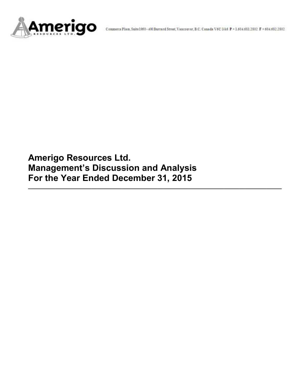

**Amerigo Resources Ltd. Management's Discussion and Analysis For the Year Ended December 31, 2015**

**\_\_\_\_\_\_\_\_\_\_\_\_\_\_\_\_\_\_\_\_\_\_\_\_\_\_\_\_\_\_\_\_\_\_\_\_\_\_\_\_\_\_\_\_\_\_\_\_\_\_\_\_\_\_\_\_\_\_\_\_\_\_\_\_\_\_\_\_\_\_\_\_\_\_\_\_\_\_\_\_\_\_\_\_**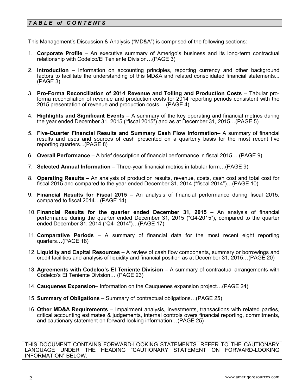# *T A B L E of C O N T E NT S*

This Management's Discussion & Analysis ("MD&A") is comprised of the following sections:

- 1. **Corporate Profile**  An executive summary of Amerigo's business and its long-term contractual relationship with Codelco/El Teniente Division…(PAGE 3)
- 2. **Introduction**  Information on accounting principles, reporting currency and other background factors to facilitate the understanding of this MD&A and related consolidated financial statements... (PAGE 3)
- 3. **Pro-Forma Reconciliation of 2014 Revenue and Tolling and Production Costs**  Tabular proforma reconciliation of revenue and production costs for 2014 reporting periods consistent with the 2015 presentation of revenue and production costs… (PAGE 4)
- 4. **Highlights and Significant Events** A summary of the key operating and financial metrics during the year ended December 31, 2015 ("fiscal 2015") and as at December 31, 2015…(PAGE 5)
- 5. **Five-Quarter Financial Results and Summary Cash Flow Information** A summary of financial results and uses and sources of cash presented on a quarterly basis for the most recent five reporting quarters...(PAGE 8)
- 6. **Overall Performance** A brief description of financial performance in fiscal 2015… (PAGE 9)
- 7. **Selected Annual Information** Three-year financial metrics in tabular form…(PAGE 9)
- 8. **Operating Results** An analysis of production results, revenue, costs, cash cost and total cost for fiscal 2015 and compared to the year ended December 31, 2014 ("fiscal 2014")…(PAGE 10)
- 9. **Financial Results for Fiscal 2015** An analysis of financial performance during fiscal 2015, compared to fiscal 2014…(PAGE 14)
- 10. **Financial Results for the quarter ended December 31, 2015** An analysis of financial performance during the quarter ended December 31, 2015 ("Q4-2015"), compared to the quarter ended December 31, 2014 ("Q4- 2014")…(PAGE 17)
- 11. **Comparative Periods** A summary of financial data for the most recent eight reporting quarters…(PAGE 18)
- 12. **Liquidity and Capital Resources** A review of cash flow components, summary or borrowings and credit facilities and analysis of liquidity and financial position as at December 31, 2015…(PAGE 20)
- 13. **Agreements with Codelco's El Teniente Division** A summary of contractual arrangements with Codelco's El Teniente Division… (PAGE 23)
- 14. **Cauquenes Expansion–** Information on the Cauquenes expansion project…(PAGE 24)
- 15. **Summary of Obligations**  Summary of contractual obligations…(PAGE 25)
- 16. **Other MD&A Requirements**  Impairment analysis, investments, transactions with related parties, critical accounting estimates & judgements, internal controls overs financial reporting, commitments, and cautionary statement on forward looking information…(PAGE 25)

THIS DOCUMENT CONTAINS FORWARD-LOOKING STATEMENTS. REFER TO THE CAUTIONARY LANGUAGE UNDER THE HEADING "CAUTIONARY STATEMENT ON FORWARD-LOOKING INFORMATION" BELOW.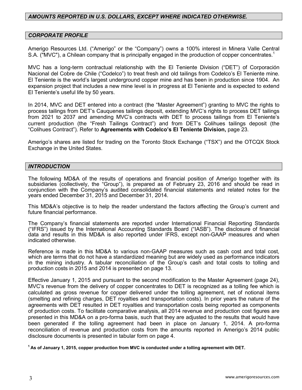# *AMOUNTS REPORTED IN U.S. DOLLARS, EXCEPT WHERE INDICATED OTHERWISE.*

#### *CORPORATE PROFILE*

Amerigo Resources Ltd. ("Amerigo" or the "Company") owns a 100% interest in Minera Valle Central S.A. ("MVC"), a Chilean company that is principally engaged in the production of copper concentrates.<sup>1</sup>

MVC has a long-term contractual relationship with the El Teniente Division ("DET") of Corporación Nacional del Cobre de Chile ("Codelco") to treat fresh and old tailings from Codelco's El Teniente mine. El Teniente is the world's largest underground copper mine and has been in production since 1904. An expansion project that includes a new mine level is in progress at El Teniente and is expected to extend El Teniente's useful life by 50 years.

In 2014, MVC and DET entered into a contract (the "Master Agreement") granting to MVC the rights to process tailings from DET's Cauquenes tailings deposit, extending MVC's rights to process DET tailings from 2021 to 2037 and amending MVC's contracts with DET to process tailings from El Teniente's current production (the "Fresh Tailings Contract") and from DET's Colihues tailings deposit (the "Colihues Contract"). Refer to **Agreements with Codelco's El Teniente Division,** page 23.

Amerigo's shares are listed for trading on the Toronto Stock Exchange ("TSX") and the OTCQX Stock Exchange in the United States.

#### *INTRODUCTION*

The following MD&A of the results of operations and financial position of Amerigo together with its subsidiaries (collectively, the "Group"), is prepared as of February 23, 2016 and should be read in conjunction with the Company's audited consolidated financial statements and related notes for the years ended December 31, 2015 and December 31, 2014.

This MD&A's objective is to help the reader understand the factors affecting the Group's current and future financial performance.

The Company's financial statements are reported under International Financial Reporting Standards ("IFRS") issued by the International Accounting Standards Board ("IASB"). The disclosure of financial data and results in this MD&A is also reported under IFRS, except non-GAAP measures and when indicated otherwise.

Reference is made in this MD&A to various non-GAAP measures such as cash cost and total cost, which are terms that do not have a standardized meaning but are widely used as performance indicators in the mining industry. A tabular reconciliation of the Group's cash and total costs to tolling and production costs in 2015 and 2014 is presented on page 13.

Effective January 1, 2015 and pursuant to the second modification to the Master Agreement (page 24), MVC's revenue from the delivery of copper concentrates to DET is recognized as a tolling fee which is calculated as gross revenue for copper delivered under the tolling agreement, net of notional items (smelting and refining charges, DET royalties and transportation costs). In prior years the nature of the agreements with DET resulted in DET royalties and transportation costs being reported as components of production costs. To facilitate comparative analysis, all 2014 revenue and production cost figures are presented in this MD&A on a pro-forma basis, such that they are adjusted to the results that would have been generated if the tolling agreement had been in place on January 1, 2014. A pro-forma reconciliation of revenue and production costs from the amounts reported in Amerigo's 2014 public disclosure documents is presented in tabular form on page 4.

**1 As of January 1, 2015, copper production from MVC is conducted under a tolling agreement with DET.**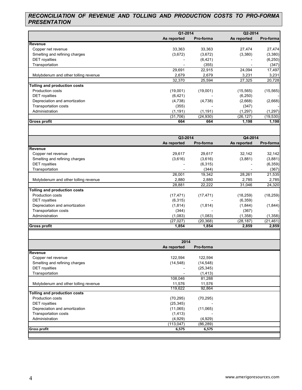# *RECONCILIATION OF REVENUE AND TOLLING AND PRODUCTION COSTS TO PRO-FORMA PRESENTATION*

|                                      | Q1-2014     |           | Q2-2014     |           |
|--------------------------------------|-------------|-----------|-------------|-----------|
|                                      | As reported | Pro-forma | As reported | Pro-forma |
| Revenue                              |             |           |             |           |
| Copper net revenue                   | 33,363      | 33,363    | 27,474      | 27,474    |
| Smelting and refining charges        | (3,672)     | (3,672)   | (3,380)     | (3,380)   |
| <b>DET</b> royalties                 |             | (6,421)   |             | (6, 250)  |
| Transportation                       |             | (355)     |             | (347)     |
|                                      | 29,691      | 22,915    | 24,094      | 17,497    |
| Molybdenum and other tolling revenue | 2,679       | 2,679     | 3,231       | 3,231     |
|                                      | 32,370      | 25,594    | 27,325      | 20,728    |
| Tolling and production costs         |             |           |             |           |
| <b>Production costs</b>              | (19,001)    | (19,001)  | (15, 565)   | (15, 565) |
| <b>DET</b> royalties                 | (6, 421)    |           | (6, 250)    |           |
| Depreciation and amortization        | (4,738)     | (4,738)   | (2,668)     | (2,668)   |
| <b>Transportation costs</b>          | (355)       |           | (347)       |           |
| Administration                       | (1, 191)    | (1, 191)  | (1,297)     | (1, 297)  |
|                                      | (31,706)    | (24, 930) | (26, 127)   | (19, 530) |
| <b>Gross profit</b>                  | 664         | 664       | 1,198       | 1,198     |

|                                      | Q3-2014     |           | Q4-2014     |            |
|--------------------------------------|-------------|-----------|-------------|------------|
|                                      | As reported | Pro-forma | As reported | Pro-formal |
| Revenue                              |             |           |             |            |
| Copper net revenue                   | 29,617      | 29,617    | 32,142      | 32,142     |
| Smelting and refining charges        | (3,616)     | (3,616)   | (3,881)     | (3,881)    |
| <b>DET</b> royalties                 |             | (6,315)   |             | (6, 359)   |
| Transportation                       |             | (344)     |             | (367)      |
|                                      | 26,001      | 19,342    | 28,261      | 21,535     |
| Molybdenum and other tolling revenue | 2,880       | 2,880     | 2,785       | 2,785      |
|                                      | 28,881      | 22,222    | 31,046      | 24,320     |
| Tolling and production costs         |             |           |             |            |
| <b>Production costs</b>              | (17, 471)   | (17, 471) | (18, 259)   | (18, 259)  |
| <b>DET</b> royalties                 | (6,315)     |           | (6, 359)    |            |
| Depreciation and amortization        | (1,814)     | (1, 814)  | (1,844)     | (1,844)    |
| <b>Transportation costs</b>          | (344)       |           | (367)       |            |
| Administration                       | (1,083)     | (1,083)   | (1, 358)    | (1,358)    |
|                                      | (27, 027)   | (20,368)  | (28, 187)   | (21, 461)  |
| <b>Gross profit</b>                  | 1,854       | 1,854     | 2,859       | 2,859      |

|                                      | 2014        |           |  |
|--------------------------------------|-------------|-----------|--|
|                                      | As reported | Pro-forma |  |
| Revenue                              |             |           |  |
| Copper net revenue                   | 122,594     | 122,594   |  |
| Smelting and refining charges        | (14, 548)   | (14, 548) |  |
| <b>DET</b> royalties                 |             | (25, 345) |  |
| Transportation                       |             | (1, 413)  |  |
|                                      | 108,046     | 81,288    |  |
| Molybdenum and other tolling revenue | 11,576      | 11,576    |  |
|                                      | 119,622     | 92,864    |  |
| <b>Tolling and production costs</b>  |             |           |  |
| <b>Production costs</b>              | (70, 295)   | (70, 295) |  |
| <b>DET</b> royalties                 | (25, 345)   |           |  |
| Depreciation and amortization        | (11,065)    | (11,065)  |  |
| <b>Transportation costs</b>          | (1, 413)    |           |  |
| Administration                       | (4,929)     | (4,929)   |  |
|                                      | (113, 047)  | (86, 289) |  |
| <b>Gross profit</b>                  | 6,575       | 6,575     |  |
|                                      |             |           |  |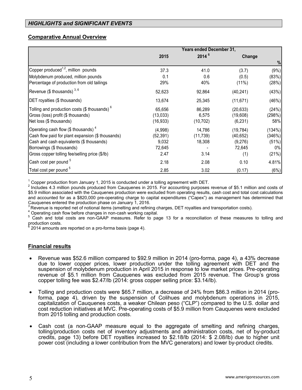# **Comparative Annual Overview**

|                                                          | Years ended December 31, |            |           |        |
|----------------------------------------------------------|--------------------------|------------|-----------|--------|
|                                                          | 2015                     | $2014^{6}$ | Change    |        |
|                                                          |                          |            |           | %      |
| Copper produced <sup>1,2</sup> , million pounds          | 37.3                     | 41.0       | (3.7)     | (9%)   |
| Molybdenum produced, million pounds                      | 0.1                      | 0.6        | (0.5)     | (83%)  |
| Percentage of production from old tailings               | 29%                      | 40%        | (11%)     | (28%)  |
| Revenue (\$ thousands) $^{3,6}$                          | 52,623                   | 92,864     | (40, 241) | (43%)  |
| DET royalties (\$ thousands)                             | 13,674                   | 25,345     | (11, 671) | (46%)  |
| Tolling and production costs (\$ thousands) <sup>6</sup> | 65,656                   | 86,289     | (20, 633) | (24%)  |
| Gross (loss) profit (\$ thousands)                       | (13,033)                 | 6,575      | (19,608)  | (298%) |
| Net loss (\$ thousands)                                  | (16, 933)                | (10, 702)  | (6, 231)  | 58%    |
| Operating cash flow (\$ thousands) <sup>4</sup>          | (4,998)                  | 14,786     | (19, 784) | (134%) |
| Cash flow paid for plant expansion (\$ thousands)        | (52, 391)                | (11, 739)  | (40, 652) | (346%) |
| Cash and cash equivalents (\$ thousands)                 | 9,032                    | 18,308     | (9,276)   | (51%)  |
| Borrowings (\$ thousands)                                | 72,645                   |            | 72,645    | 0%     |
| Gross copper tolling fee/selling price (\$/lb)           | 2.47                     | 3.14       | (1)       | (21%)  |
| Cash cost per pound <sup>5</sup>                         | 2.18                     | 2.08       | 0.10      | 4.81%  |
| Total cost per pound <sup>5</sup>                        | 2.85                     | 3.02       | (0.17)    | (6%)   |

<sup>1</sup> Copper production from January 1, 2015 is conducted under a tolling agreement with DET.<br><sup>2</sup> Includes 4.3 million pounds produced from Cauquenes in 2015. For accounting purposes revenue of \$5.1 million and costs of \$5.9 million associated with the Cauquenes production were excluded from operating results, cash cost and total cost calculations and accounted for as a \$820,000 pre-operating charge to capital expenditures ("Capex") as management has determined that<br>Cauguenes entered the production phase on January 1, 2016.

 $3$  Revenue is reported net of notional items (smelting and refining charges, DET royalties and transportation costs).<br>  $4$  Operating cash flow before changes in non-cash working capital.<br>  $5$  Cash and total costs are non production costs.

2014 amounts are reported on a pro-forma basis (page 4).

# **Financial results**

- Revenue was \$52.6 million compared to \$92.9 million in 2014 (pro-forma, page 4), a 43% decrease due to lower copper prices, lower production under the tolling agreement with DET and the suspension of molybdenum production in April 2015 in response to low market prices. Pre-operating revenue of \$5.1 million from Cauquenes was excluded from 2015 revenue. The Group's gross copper tolling fee was \$2.47/lb (2014: gross copper selling price: \$3.14/lb).
- Tolling and production costs were \$65.7 million, a decrease of 24% from \$86.3 million in 2014 (proforma, page 4), driven by the suspension of Colihues and molybdenum operations in 2015, capitalization of Cauquenes costs, a weaker Chilean peso ("CLP") compared to the U.S. dollar and cost reduction initiatives at MVC. Pre-operating costs of \$5.9 million from Cauquenes were excluded from 2015 tolling and production costs.
- Cash cost (a non-GAAP measure equal to the aggregate of smelting and refining charges, tolling/production costs net of inventory adjustments and administration costs, net of by-product credits, page 13) before DET royalties increased to \$2.18/lb (2014: \$ 2.08/lb) due to higher unit power cost (including a lower contribution from the MVC generators) and lower by-product credits.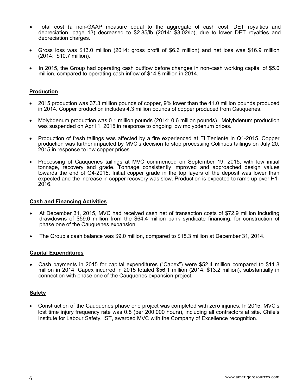- Total cost (a non-GAAP measure equal to the aggregate of cash cost, DET royalties and depreciation, page 13) decreased to \$2.85/lb (2014: \$3.02/lb), due to lower DET royalties and depreciation charges.
- Gross loss was \$13.0 million (2014: gross profit of \$6.6 million) and net loss was \$16.9 million (2014: \$10.7 million).
- In 2015, the Group had operating cash outflow before changes in non-cash working capital of \$5.0 million, compared to operating cash inflow of \$14.8 million in 2014.

#### **Production**

- 2015 production was 37.3 million pounds of copper, 9% lower than the 41.0 million pounds produced in 2014. Copper production includes 4.3 million pounds of copper produced from Cauquenes.
- Molybdenum production was 0.1 million pounds (2014: 0.6 million pounds). Molybdenum production was suspended on April 1, 2015 in response to ongoing low molybdenum prices.
- Production of fresh tailings was affected by a fire experienced at El Teniente in Q1-2015. Copper production was further impacted by MVC's decision to stop processing Colihues tailings on July 20, 2015 in response to low copper prices.
- Processing of Cauquenes tailings at MVC commenced on September 19, 2015, with low initial tonnage, recovery and grade. Tonnage consistently improved and approached design values towards the end of Q4-2015. Initial copper grade in the top layers of the deposit was lower than expected and the increase in copper recovery was slow. Production is expected to ramp up over H1- 2016.

#### **Cash and Financing Activities**

- At December 31, 2015, MVC had received cash net of transaction costs of \$72.9 million including drawdowns of \$59.6 million from the \$64.4 million bank syndicate financing, for construction of phase one of the Cauquenes expansion.
- The Group's cash balance was \$9.0 million, compared to \$18.3 million at December 31, 2014.

#### **Capital Expenditures**

 Cash payments in 2015 for capital expenditures ("Capex") were \$52.4 million compared to \$11.8 million in 2014. Capex incurred in 2015 totaled \$56.1 million (2014: \$13.2 million), substantially in connection with phase one of the Cauquenes expansion project.

#### **Safety**

 Construction of the Cauquenes phase one project was completed with zero injuries. In 2015, MVC's lost time injury frequency rate was 0.8 (per 200,000 hours), including all contractors at site. Chile's Institute for Labour Safety, IST, awarded MVC with the Company of Excellence recognition.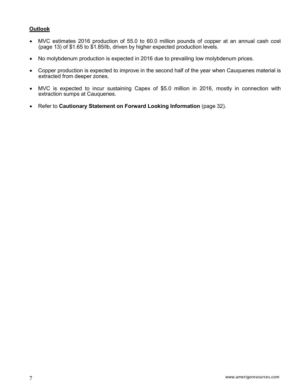# **Outlook**

- MVC estimates 2016 production of 55.0 to 60.0 million pounds of copper at an annual cash cost (page 13) of \$1.65 to \$1.85/lb, driven by higher expected production levels.
- No molybdenum production is expected in 2016 due to prevailing low molybdenum prices.
- Copper production is expected to improve in the second half of the year when Cauquenes material is extracted from deeper zones.
- MVC is expected to incur sustaining Capex of \$5.0 million in 2016, mostly in connection with extraction sumps at Cauquenes.
- Refer to **Cautionary Statement on Forward Looking Information** (page 32).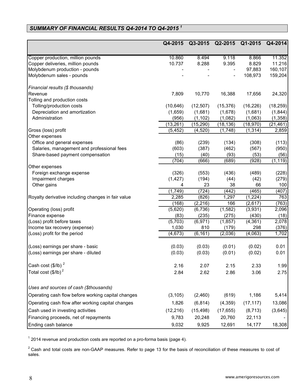# *SUMMARY OF FINANCIAL RESULTS Q4-2014 TO Q4-2015 <sup>1</sup>*

|                                                    | Q4-2015      | Q3-2015     | Q2-2015        | Q1-2015     | Q4-2014      |
|----------------------------------------------------|--------------|-------------|----------------|-------------|--------------|
|                                                    |              |             |                |             |              |
| Copper production, million pounds                  | 10.860       | 8.494       | 9.118          | 8.866       | 11.352       |
| Copper deliveries, million pounds                  | 10.737       | 8.288       | 9.395          | 8.829       | 11.216       |
| Molybdenum production - pounds                     |              |             |                | 97,883      | 160,107      |
| Molybdenum sales - pounds                          |              |             |                | 108,973     | 159,204      |
| Financial results (\$ thousands)                   |              |             |                |             |              |
| Revenue                                            | 7,809        | 10,770      | 16,388         | 17,656      | 24,320       |
| Tolling and production costs                       |              |             |                |             |              |
| Tolling/production costs                           | (10, 646)    | (12, 507)   | (15, 376)      | (16, 226)   | (18, 259)    |
| Depreciation and amortization                      | (1,659)      | (1,681)     | (1,678)        | (1,681)     | (1, 844)     |
| Administration                                     | (956)        | (1, 102)    | (1,082)        | (1,063)     | (1, 358)     |
|                                                    | (13, 261)    | (15, 290)   | (18, 136)      | (18, 970)   | (21, 461)    |
| Gross (loss) profit                                | (5, 452)     | (4, 520)    | (1,748)        | (1, 314)    | 2,859        |
| Other expenses                                     |              |             |                |             |              |
| Office and general expenses                        | (86)         | (239)       | (134)          | (308)       | (113)        |
| Salaries, management and professional fees         | (603)        | (387)       | (462)          | (567)       | (950)        |
| Share-based payment compensation                   | (15)         | (40)        | (93)           | (53)        | (56)         |
|                                                    | (704)        | (666)       | (689)          | (928)       | (1, 119)     |
| Other expenses                                     |              |             |                |             |              |
| Foreign exchange expense                           | (326)        | (553)       | (436)          | (489)       | (228)        |
| Impairment charges                                 | (1, 427)     | (194)       | (44)           | (42)        | (279)        |
| Other gains                                        | 4<br>(1,749) | 23<br>(724) | 38             | 66<br>(465) | 100<br>(407) |
| Royalty derivative including changes in fair value | 2,285        | (826)       | (442)<br>1,297 | (1,224)     | 763          |
|                                                    | (168)        | (2, 216)    | 166            | (2,617)     | (763)        |
| Operating (loss) profit                            | (5,620)      | (6,736)     | (1,582)        | (3,931)     | 2,096        |
| Finance expense                                    | (83)         | (235)       | (275)          | (430)       | (18)         |
| (Loss) profit before taxes                         | (5,703)      | (6, 971)    | (1, 857)       | (4,361)     | 2,078        |
| Income tax recovery (expense)                      | 1,030        | 810         | (179)          | 298         | (376)        |
| (Loss) profit for the period                       | (4, 673)     | (6, 161)    | (2,036)        | (4,063)     | 1,702        |
|                                                    |              |             |                |             |              |
| (Loss) earnings per share - basic                  | (0.03)       | (0.03)      | (0.01)         | (0.02)      | 0.01         |
| (Loss) earnings per share - diluted                | (0.03)       | (0.03)      | (0.01)         | (0.02)      | 0.01         |
| Cash cost $(\frac{1}{2}$ /lb) <sup>2</sup>         | 2.16         | 2.07        | 2.15           | 2.33        | 1.99         |
| Total cost $(\frac{1}{2}$ /lb) <sup>2</sup>        | 2.84         | 2.62        | 2.86           | 3.06        | 2.75         |
| Uses and sources of cash (\$thousands)             |              |             |                |             |              |
| Operating cash flow before working capital changes | (3, 105)     | (2,460)     | (619)          | 1,186       | 5,414        |
| Operating cash flow after working capital changes  | 1,826        | (6, 814)    | (4, 359)       | (17, 117)   | 13,086       |
| Cash used in investing activities                  |              |             |                |             |              |
|                                                    | (12, 216)    | (15, 498)   | (17, 655)      | (8, 713)    | (3,645)      |
| Financing proceeds, net of repayments              | 9,783        | 20,248      | 20,760         | 22,113      |              |
| Ending cash balance                                | 9,032        | 9,925       | 12,691         | 14,177      | 18,308       |

 $1$  2014 revenue and production costs are reported on a pro-forma basis (page 4).

 $2$  Cash and total costs are non-GAAP measures. Refer to page 13 for the basis of reconciliation of these measures to cost of sales.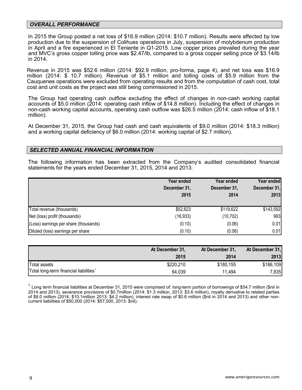#### *OVERALL PERFORMANCE*

In 2015 the Group posted a net loss of \$16.9 million (2014: \$10.7 million). Results were affected by low production due to the suspension of Colihues operations in July, suspension of molybdenum production in April and a fire experienced in El Teniente in Q1-2015. Low copper prices prevailed during the year and MVC's gross copper tolling price was \$2.47/lb, compared to a gross copper selling price of \$3.14/lb in 2014.

Revenue in 2015 was \$52.6 million (2014: \$92.9 million, pro-forma, page 4), and net loss was \$16.9 million (2014: \$ 10.7 million). Revenue of \$5.1 million and tolling costs of \$5.9 million from the Cauquenes operations were excluded from operating results and from the computation of cash cost, total cost and unit costs as the project was still being commissioned in 2015.

The Group had operating cash outflow excluding the effect of changes in non-cash working capital accounts of \$5.0 million (2014: operating cash inflow of \$14.8 million). Including the effect of changes in non-cash working capital accounts, operating cash outflow was \$26.5 million (2014: cash inflow of \$18.1 million).

At December 31, 2015, the Group had cash and cash equivalents of \$9.0 million (2014: \$18.3 million) and a working capital deficiency of \$6.0 million (2014: working capital of \$2.7 million).

#### *SELECTED ANNUAL FINANCIAL INFORMATION*

The following information has been extracted from the Company's audited consolidated financial statements for the years ended December 31, 2015, 2014 and 2013.

|                                       | Year ended<br>December 31,<br>2015 | Year ended<br>December 31,<br>2014 | Year ended<br>December 31,<br>2013 |
|---------------------------------------|------------------------------------|------------------------------------|------------------------------------|
| Total revenue (thousands)             | \$52,623                           | \$119,622                          | \$143,592                          |
| Net (loss) profit (thousands)         | (16, 933)                          | (10, 702)                          | 993                                |
| (Loss) earnings per share (thousands) | (0.10)                             | (0.06)                             | 0.01                               |
| Diluted (loss) earnings per share     | (0.10)                             | (0.06)                             | 0.01                               |

|                                                    | At December 31,<br>2015 | At December 31,<br>2014 | At December 31,<br>2013 |
|----------------------------------------------------|-------------------------|-------------------------|-------------------------|
| Total assets                                       | \$220,210               | \$180,155               | \$186,109               |
| Total long-term financial liabilities <sup>1</sup> | 64,039                  | 11,494                  | 7,835                   |

 $1$  Long term financial liabilities at December 31, 2015 were comprised of: long-term portion of borrowings of \$54.7 million (\$nil in 2014 and 2013), severance provisions of \$0.7million (2014: \$1.3 million, 2013: \$3.6 million), royalty derivative to related parties of \$8.0 million (2014: \$10.1million 2013: \$4.2 million), interest rate swap of \$0.6 million (\$nil in 2014 and 2013) and other noncurrent liabilities of \$50,000 (2014: \$57,000, 2013: \$nil).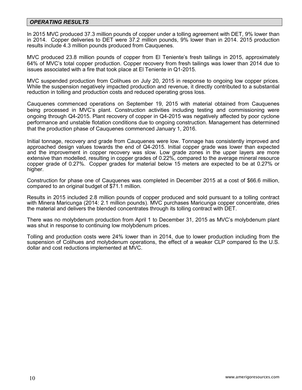#### *OPERATING RESULTS*

In 2015 MVC produced 37.3 million pounds of copper under a tolling agreement with DET, 9% lower than in 2014. Copper deliveries to DET were 37.2 million pounds, 9% lower than in 2014. 2015 production results include 4.3 million pounds produced from Cauquenes.

MVC produced 23.8 million pounds of copper from El Teniente's fresh tailings in 2015, approximately 64% of MVC's total copper production. Copper recovery from fresh tailings was lower than 2014 due to issues associated with a fire that took place at El Teniente in Q1-2015.

MVC suspended production from Colihues on July 20, 2015 in response to ongoing low copper prices. While the suspension negatively impacted production and revenue, it directly contributed to a substantial reduction in tolling and production costs and reduced operating gross loss.

Cauquenes commenced operations on September 19, 2015 with material obtained from Cauquenes being processed in MVC's plant. Construction activities including testing and commissioning were ongoing through Q4-2015. Plant recovery of copper in Q4-2015 was negatively affected by poor cyclone performance and unstable flotation conditions due to ongoing construction. Management has determined that the production phase of Cauquenes commenced January 1, 2016.

Initial tonnage, recovery and grade from Cauquenes were low. Tonnage has consistently improved and approached design values towards the end of Q4-2015. Initial copper grade was lower than expected and the improvement in copper recovery was slow. Low grade zones in the upper layers are more extensive than modelled, resulting in copper grades of 0.22%, compared to the average mineral resource copper grade of 0.27%. Copper grades for material below 15 meters are expected to be at 0.27% or higher.

Construction for phase one of Cauquenes was completed in December 2015 at a cost of \$66.6 million, compared to an original budget of \$71.1 million.

Results in 2015 included 2.8 million pounds of copper produced and sold pursuant to a tolling contract with Minera Maricunga (2014: 2.1 million pounds). MVC purchases Maricunga copper concentrate, dries the material and delivers the blended concentrates through its tolling contract with DET.

There was no molybdenum production from April 1 to December 31, 2015 as MVC's molybdenum plant was shut in response to continuing low molybdenum prices.

Tolling and production costs were 24% lower than in 2014, due to lower production including from the suspension of Colihues and molybdenum operations, the effect of a weaker CLP compared to the U.S. dollar and cost reductions implemented at MVC.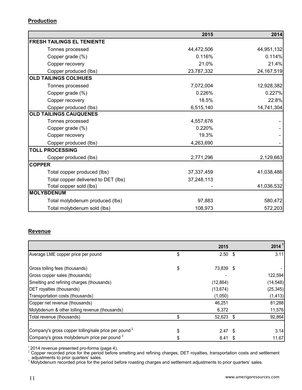# **Production**

|                                     | 2015       | 2014         |
|-------------------------------------|------------|--------------|
| <b>FRESH TAILINGS EL TENIENTE</b>   |            |              |
| Tonnes processed                    | 44,472,506 | 44,951,132   |
| Copper grade (%)                    | 0.116%     | 0.114%       |
| Copper recovery                     | 21.0%      | 21.4%        |
| Copper produced (lbs)               | 23,787,332 | 24, 167, 519 |
| <b>OLD TAILINGS COLIHUES</b>        |            |              |
| Tonnes processed                    | 7,072,004  | 12,928,382   |
| Copper grade (%)                    | 0.226%     | 0.227%       |
| Copper recovery                     | 18.5%      | 22.8%        |
| Copper produced (lbs)               | 6,515,140  | 14,741,304   |
| <b>OLD TAILINGS CAUQUENES</b>       |            |              |
| Tonnes processed                    | 4,557,676  |              |
| Copper grade (%)                    | 0.220%     |              |
| Copper recovery                     | 19.3%      |              |
| Copper produced (lbs)               | 4,263,690  |              |
| <b>TOLL PROCESSING</b>              |            |              |
| Copper produced (lbs)               | 2,771,296  | 2,129,663    |
| <b>COPPER</b>                       |            |              |
| Total copper produced (lbs)         | 37,337,459 | 41,038,486   |
| Total copper delivered to DET (lbs) | 37,248,113 |              |
| Total copper sold (lbs)             |            | 41,036,532   |
| <b>MOLYBDENUM</b>                   |            |              |
| Total molybdenum produced (lbs)     | 97,883     | 580,472      |
| Total molybdenum sold (lbs)         | 108,973    | 572,203      |

# **Revenue**

|                                                                  | 2015            |    | 2014      |
|------------------------------------------------------------------|-----------------|----|-----------|
| Average LME copper price per pound                               | \$<br>$2.50$ \$ |    | 3.11      |
| Gross tolling fees (thousands)                                   | 73,839 \$       |    |           |
| Gross copper sales (thousands)                                   |                 |    | 122,594   |
| Smelting and refining charges (thousands)                        | (12, 864)       |    | (14, 548) |
| DET royalties (thousands)                                        | (13, 674)       |    | (25, 345) |
| Transportation costs (thousands)                                 | (1,050)         |    | (1, 413)  |
| Copper net revenue (thousands)                                   | 46,251          |    | 81,288    |
| Molybdenum & other tolling revenue (thousands)                   | 6,372           |    | 11,576    |
| Total revenue (thousands)                                        | 52,623 \$       |    | 92,864    |
| Company's gross copper tolling/sale price per pound <sup>2</sup> | $2.47$ \$       |    | 3.14      |
| Company's gross molybdenum price per pound 3                     | 8.41            | -S | 11.67     |

 $^1$ 2014 revenue presented pro-forma (page 4).<br><sup>2</sup> Copper recorded price for the period before smelting and refining charges, DET royalties, transportation costs and settlement

 $_3$  adjustments to prior quarters' sales.<br><sup>3</sup> Molybdenum recorded price for the period before roasting charges and settlement adjustments to prior quarters' sales.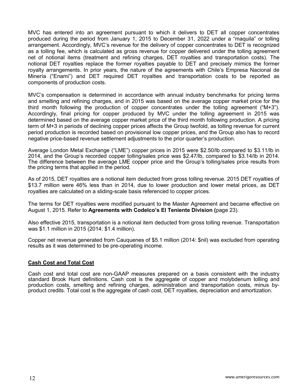MVC has entered into an agreement pursuant to which it delivers to DET all copper concentrates produced during the period from January 1, 2015 to December 31, 2022 under a "maquila" or tolling arrangement. Accordingly, MVC's revenue for the delivery of copper concentrates to DET is recognized as a tolling fee, which is calculated as gross revenue for copper delivered under the tolling agreement net of notional items (treatment and refining charges, DET royalties and transportation costs). The notional DET royalties replace the former royalties payable to DET and precisely mimics the former royalty arrangements. In prior years, the nature of the agreements with Chile's Empresa Nacional de Minería ("Enami") and DET required DET royalties and transportation costs to be reported as components of production costs.

MVC's compensation is determined in accordance with annual industry benchmarks for pricing terms and smelting and refining charges, and in 2015 was based on the average copper market price for the third month following the production of copper concentrates under the tolling agreement ("M+3"). Accordingly, final pricing for copper produced by MVC under the tolling agreement in 2015 was determined based on the average copper market price of the third month following production. A pricing term of M+3 in periods of declining copper prices affects the Group twofold, as tolling revenue for current period production is recorded based on provisional low copper prices, and the Group also has to record negative price-based revenue settlement adjustments to the prior quarter's production.

Average London Metal Exchange ("LME") copper prices in 2015 were \$2.50/lb compared to \$3.11/lb in 2014, and the Group's recorded copper tolling/sales price was \$2.47/lb, compared to \$3.14/lb in 2014. The difference between the average LME copper price and the Group's tolling/sales price results from the pricing terms that applied in the period.

As of 2015, DET royalties are a notional item deducted from gross tolling revenue. 2015 DET royalties of \$13.7 million were 46% less than in 2014, due to lower production and lower metal prices, as DET royalties are calculated on a sliding-scale basis referenced to copper prices.

The terms for DET royalties were modified pursuant to the Master Agreement and became effective on August 1, 2015. Refer to **Agreements with Codelco's El Teniente Division (**page 23).

Also effective 2015, transportation is a notional item deducted from gross tolling revenue. Transportation was \$1.1 million in 2015 (2014: \$1.4 million).

Copper net revenue generated from Cauquenes of \$5.1 million (2014: \$nil) was excluded from operating results as it was determined to be pre-operating income.

#### **Cash Cost and Total Cost**

Cash cost and total cost are non-GAAP measures prepared on a basis consistent with the industry standard Brook Hunt definitions. Cash cost is the aggregate of copper and molybdenum tolling and production costs, smelting and refining charges, administration and transportation costs, minus byproduct credits. Total cost is the aggregate of cash cost, DET royalties, depreciation and amortization.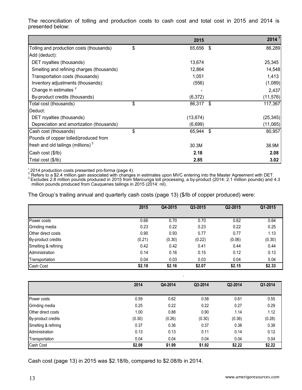The reconciliation of tolling and production costs to cash cost and total cost in 2015 and 2014 is presented below:

|                                           | 2015         |      | 2014 <sup>1</sup> |
|-------------------------------------------|--------------|------|-------------------|
| Tolling and production costs (thousands)  | \$<br>65,656 | - \$ | 86,289            |
| Add (deduct):                             |              |      |                   |
| DET royalties (thousands)                 | 13,674       |      | 25,345            |
| Smelting and refining charges (thousands) | 12,864       |      | 14,548            |
| Transportation costs (thousands)          | 1,051        |      | 1,413             |
| Inventory adjustments (thousands):        | (556)        |      | (1,089)           |
| Change in estimates <sup>2</sup>          |              |      | 2,437             |
| By-product credits (thousands)            | (6, 372)     |      | (11, 576)         |
| Total cost (thousands)                    | \$<br>86,317 | -\$  | 117,367           |
| Deduct:                                   |              |      |                   |
| DET royalties (thousands)                 | (13, 674)    |      | (25, 345)         |
| Depreciation and amortization (thousands) | (6,699)      |      | (11,065)          |
| Cash cost (thousands)                     | \$<br>65,944 | -\$  | 80,957            |
| Pounds of copper tolled/produced from     |              |      |                   |
| fresh and old tailings (millions) $3$     | 30.3M        |      | 38.9M             |
| Cash cost (\$/lb)                         | 2.18         |      | 2.08              |
| Total cost (\$/lb)                        | 2.85         |      | 3.02              |

<sup>1</sup> 2014 production costs presented pro-forma (page 4).<br><sup>2</sup> Refers to a \$2.4 million gain associated with changes in estimates upon MVC entering into the Master Agreement with DET.<br><sup>3</sup> Excludes 2.8 million pounds produced million pounds produced from Cauquenes tailings in 2015 (2014: nil).

The Group's trailing annual and quarterly cash costs (page 13) (\$/lb of copper produced) were:

|                           | 2015   | Q4-2015 | Q3-2015 | Q2-2015 | Q1-2015 |
|---------------------------|--------|---------|---------|---------|---------|
| Power costs               | 0.66   | 0.70    | 0.70    | 0.62    | 0.64    |
| Grinding media            | 0.23   | 0.22    | 0.23    | 0.22    | 0.25    |
| <b>Other direct costs</b> | 0.90   | 0.93    | 0.77    | 0.77    | 1.13    |
| By-product credits        | (0.21) | (0.30)  | (0.22)  | (0.06)  | (0.30)  |
| Smelting & refining       | 0.42   | 0.42    | 0.41    | 0.44    | 0.44    |
| Administration            | 0.14   | 0.16    | 0.15    | 0.12    | 0.13    |
| Transportation            | 0.04   | 0.03    | 0.03    | 0.04    | 0.04    |
| Cash Cost                 | \$2.18 | \$2.16  | \$2.07  | \$2.15  | \$2.33  |

|                     | 2014   | Q4-2014 | Q3-2014 | Q2-2014 | Q1-2014 |
|---------------------|--------|---------|---------|---------|---------|
|                     |        |         |         |         |         |
| Power costs         | 0.59   | 0.62    | 0.58    | 0.61    | 0.55    |
| Grinding media      | 0.25   | 0.22    | 0.22    | 0.27    | 0.29    |
| Other direct costs  | 1.00   | 0.88    | 0.90    | 1.14    | 1.12    |
| By-product credits  | (0.30) | (0.26)  | (0.30)  | (0.36)  | (0.28)  |
| Smelting & refining | 0.37   | 0.36    | 0.37    | 0.38    | 0.38    |
| Administration      | 0.13   | 0.13    | 0.11    | 0.14    | 0.12    |
| Transportation      | 0.04   | 0.04    | 0.04    | 0.04    | 0.04    |
| Cash Cost           | \$2.08 | \$1.99  | \$1.92  | \$2.22  | \$2.22  |

Cash cost (page 13) in 2015 was \$2.18/lb, compared to \$2.08/lb in 2014.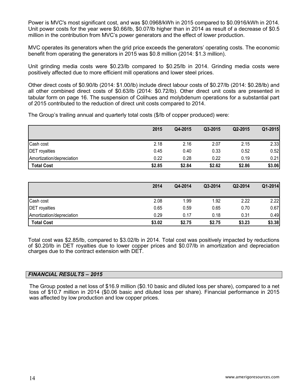Power is MVC's most significant cost, and was \$0.0968/kWh in 2015 compared to \$0.0916/kWh in 2014. Unit power costs for the year were \$0.66/lb, \$0.07/lb higher than in 2014 as result of a decrease of \$0.5 million in the contribution from MVC's power generators and the effect of lower production.

MVC operates its generators when the grid price exceeds the generators' operating costs. The economic benefit from operating the generators in 2015 was \$0.8 million (2014: \$1.3 million).

Unit grinding media costs were \$0.23/lb compared to \$0.25/lb in 2014. Grinding media costs were positively affected due to more efficient mill operations and lower steel prices.

Other direct costs of \$0.90/lb (2014: \$1.00/lb) include direct labour costs of \$0.27/lb (2014: \$0.28/lb) and all other combined direct costs of \$0.63/lb (2014: \$0.72/lb). Other direct unit costs are presented in tabular form on page 16. The suspension of Colihues and molybdenum operations for a substantial part of 2015 contributed to the reduction of direct unit costs compared to 2014.

The Group's trailing annual and quarterly total costs (\$/lb of copper produced) were:

|                           | 2015   | Q4-2015 | Q3-2015 | Q2-2015 | Q1-2015 |
|---------------------------|--------|---------|---------|---------|---------|
| Cash cost                 | 2.18   | 2.16    | 2.07    | 2.15    | 2.33    |
| <b>DET</b> royalties      | 0.45   | 0.40    | 0.33    | 0.52    | 0.52    |
| Amortization/depreciation | 0.22   | 0.28    | 0.22    | 0.19    | 0.21    |
| <b>Total Cost</b>         | \$2.85 | \$2.84  | \$2.62  | \$2.86  | \$3.06  |

|                           | 2014   | Q4-2014 | Q3-2014 | Q2-2014 | Q1-2014 |
|---------------------------|--------|---------|---------|---------|---------|
| Cash cost                 | 2.08   | 1.99    | 1.92    | 2.22    | 2.22    |
| <b>DET</b> royalties      | 0.65   | 0.59    | 0.65    | 0.70    | 0.67    |
| Amortization/depreciation | 0.29   | 0.17    | 0.18    | 0.31    | 0.49    |
| <b>Total Cost</b>         | \$3.02 | \$2.75  | \$2.75  | \$3.23  | \$3.38  |

Total cost was \$2.85/lb, compared to \$3.02/lb in 2014. Total cost was positively impacted by reductions of \$0.20/lb in DET royalties due to lower copper prices and \$0.07/lb in amortization and depreciation charges due to the contract extension with DET.

#### *FINANCIAL RESULTS – 2015*

The Group posted a net loss of \$16.9 million (\$0.10 basic and diluted loss per share), compared to a net loss of \$10.7 million in 2014 (\$0.06 basic and diluted loss per share). Financial performance in 2015 was affected by low production and low copper prices.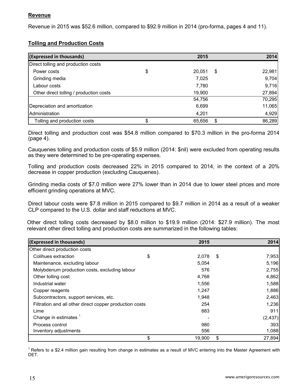Revenue in 2015 was \$52.6 million, compared to \$92.9 million in 2014 (pro-forma, pages 4 and 11).

# **Tolling and Production Costs**

| (Expressed in thousands)                |    | 2015   | 2014         |
|-----------------------------------------|----|--------|--------------|
| Direct tolling and production costs     |    |        |              |
| Power costs                             | \$ | 20,051 | \$<br>22,981 |
| Grinding media                          |    | 7,025  | 9,704        |
| Labour costs                            |    | 7,780  | 9,716        |
| Other direct tolling / production costs |    | 19,900 | 27,894       |
|                                         |    | 54,756 | 70,295       |
| Depreciation and amortization           |    | 6,699  | 11,065       |
| Administration                          |    | 4,201  | 4,929        |
| Tolling and production costs            | c  | 65,656 | \$<br>86,289 |

Direct tolling and production cost was \$54.8 million compared to \$70.3 million in the pro-forma 2014 (page 4).

Cauquenes tolling and production costs of \$5.9 million (2014: \$nil) were excluded from operating results as they were determined to be pre-operating expenses.

Tolling and production costs decreased 22% in 2015 compared to 2014, in the context of a 20% decrease in copper production (excluding Cauquenes).

Grinding media costs of \$7.0 million were 27% lower than in 2014 due to lower steel prices and more efficient grinding operations at MVC.

Direct labour costs were \$7.8 million in 2015 compared to \$9.7 million in 2014 as a result of a weaker CLP compared to the U.S. dollar and staff reductions at MVC.

Other direct tolling costs decreased by \$8.0 million to \$19.9 million (2014: \$27.9 million). The most relevant other direct tolling and production costs are summarized in the following tables:

| (Expressed in thousands)                                | 2015         | 2014         |
|---------------------------------------------------------|--------------|--------------|
| Other direct production costs                           |              |              |
| Colihues extraction                                     | \$<br>2,078  | \$<br>7,953  |
| Maintenance, excluding labour                           | 5,054        | 5,196        |
| Molybdenum production costs, excluding labour           | 576          | 2,755        |
| Other tolling cost                                      | 4,768        | 4,862        |
| Industrial water                                        | 1,556        | 1,588        |
| Copper reagents                                         | 1,247        | 1,886        |
| Subcontractors, support services, etc.                  | 1,948        | 2,463        |
| Filtration and all other direct copper production costs | 254          | 1,236        |
| Lime                                                    | 883          | 911          |
| Change in estimates <sup>1</sup>                        |              | (2, 437)     |
| Process control                                         | 980          | 393          |
| Inventory adjustments                                   | 556          | 1,088        |
|                                                         | \$<br>19,900 | \$<br>27,894 |

 $1$  Refers to a \$2.4 million gain resulting from change in estimates as a result of MVC entering into the Master Agreement with DET.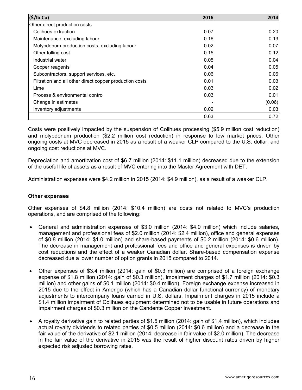| (S/lb Cu)                                               | 2015 | 2014   |
|---------------------------------------------------------|------|--------|
| Other direct production costs                           |      |        |
| Colihues extraction                                     | 0.07 | 0.20   |
| Maintenance, excluding labour                           | 0.16 | 0.13   |
| Molybdenum production costs, excluding labour           | 0.02 | 0.07   |
| Other tolling cost                                      | 0.15 | 0.12   |
| Industrial water                                        | 0.05 | 0.04   |
| Copper reagents                                         | 0.04 | 0.05   |
| Subcontractors, support services, etc.                  | 0.06 | 0.06   |
| Filtration and all other direct copper production costs | 0.01 | 0.03   |
| Lime                                                    | 0.03 | 0.02   |
| Process & environmental control                         | 0.03 | 0.01   |
| Change in estimates                                     |      | (0.06) |
| Inventory adjustments                                   | 0.02 | 0.03   |
|                                                         | 0.63 | 0.72   |

Costs were positively impacted by the suspension of Colihues processing (\$5.9 million cost reduction) and molybdenum production (\$2.2 million cost reduction) in response to low market prices. Other ongoing costs at MVC decreased in 2015 as a result of a weaker CLP compared to the U.S. dollar, and ongoing cost reductions at MVC.

Depreciation and amortization cost of \$6.7 million (2014: \$11.1 million) decreased due to the extension of the useful life of assets as a result of MVC entering into the Master Agreement with DET.

Administration expenses were \$4.2 million in 2015 (2014: \$4.9 million), as a result of a weaker CLP.

# **Other expenses**

Other expenses of \$4.8 million (2014: \$10.4 million) are costs not related to MVC's production operations, and are comprised of the following:

- General and administration expenses of \$3.0 million (2014: \$4.0 million) which include salaries, management and professional fees of \$2.0 million (2014: \$2.4 million), office and general expenses of \$0.8 million (2014: \$1.0 million) and share-based payments of \$0.2 million (2014: \$0.6 million). The decrease in management and professional fees and office and general expenses is driven by cost reductions and the effect of a weaker Canadian dollar. Share-based compensation expense decreased due a lower number of option grants in 2015 compared to 2014.
- Other expenses of \$3.4 million (2014: gain of \$0.3 million) are comprised of a foreign exchange expense of \$1.8 million (2014: gain of \$0.3 million), impairment charges of \$1.7 million (2014: \$0.3 million) and other gains of \$0.1 million (2014: \$0.4 million). Foreign exchange expense increased in 2015 due to the effect in Amerigo (which has a Canadian dollar functional currency) of monetary adjustments to intercompany loans carried in U.S. dollars. Impairment charges in 2015 include a \$1.4 million impairment of Colihues equipment determined not to be usable in future operations and impairment charges of \$0.3 million on the Candente Copper investment.
- A royalty derivative gain to related parties of \$1.5 million (2014: gain of \$1.4 million), which includes actual royalty dividends to related parties of \$0.5 million (2014: \$0.6 million) and a decrease in the fair value of the derivative of \$2.1 million (2014: decrease in fair value of \$2.0 million). The decrease in the fair value of the derivative in 2015 was the result of higher discount rates driven by higher expected risk adjusted borrowing rates.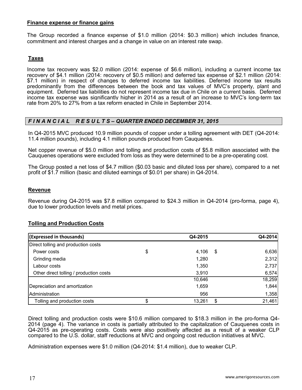### **Finance expense or finance gains**

The Group recorded a finance expense of \$1.0 million (2014: \$0.3 million) which includes finance, commitment and interest charges and a change in value on an interest rate swap.

# **Taxes**

Income tax recovery was \$2.0 million (2014: expense of \$6.6 million), including a current income tax recovery of \$4.1 million (2014: recovery of \$0.5 million) and deferred tax expense of \$2.1 million (2014: \$7.1 million) in respect of changes to deferred income tax liabilities. Deferred income tax results predominantly from the differences between the book and tax values of MVC's property, plant and equipment. Deferred tax liabilities do not represent income tax due in Chile on a current basis. Deferred income tax expense was significantly higher in 2014 as a result of an increase to MVC's long-term tax rate from 20% to 27% from a tax reform enacted in Chile in September 2014.

# *F I N A N C I A L R E S U L T S – QUARTER ENDED DECEMBER 31, 2015*

In Q4-2015 MVC produced 10.9 million pounds of copper under a tolling agreement with DET (Q4-2014: 11.4 million pounds), including 4.1 million pounds produced from Cauquenes.

Net copper revenue of \$5.0 million and tolling and production costs of \$5.8 million associated with the Cauquenes operations were excluded from loss as they were determined to be a pre-operating cost.

The Group posted a net loss of \$4.7 million (\$0.03 basic and diluted loss per share), compared to a net profit of \$1.7 million (basic and diluted earnings of \$0.01 per share) in Q4-2014.

#### **Revenue**

Revenue during Q4-2015 was \$7.8 million compared to \$24.3 million in Q4-2014 (pro-forma, page 4), due to lower production levels and metal prices.

# **Tolling and Production Costs**

| (Expressed in thousands)                | Q4-2015     |     | Q4-2014 |
|-----------------------------------------|-------------|-----|---------|
| Direct tolling and production costs     |             |     |         |
| Power costs                             | \$<br>4,106 | -\$ | 6,636   |
| Grinding media                          | 1,280       |     | 2,312   |
| Labour costs                            | 1,350       |     | 2,737   |
| Other direct tolling / production costs | 3,910       |     | 6,574   |
|                                         | 10,646      |     | 18,259  |
| Depreciation and amortization           | 1,659       |     | 1,844   |
| Administration                          | 956         |     | 1,358   |
| Tolling and production costs            | 13,261      | \$  | 21,461  |

Direct tolling and production costs were \$10.6 million compared to \$18.3 million in the pro-forma Q4- 2014 (page 4). The variance in costs is partially attributed to the capitalization of Cauquenes costs in Q4-2015 as pre-operating costs. Costs were also positively affected as a result of a weaker CLP compared to the U.S. dollar, staff reductions at MVC and ongoing cost reduction initiatives at MVC.

Administration expenses were \$1.0 million (Q4-2014: \$1.4 million), due to weaker CLP.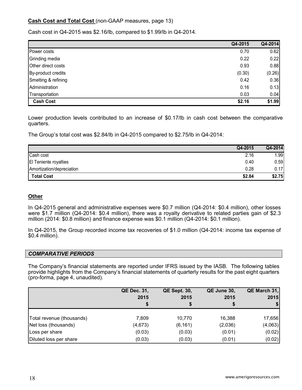# **Cash Cost and Total Cost** (non-GAAP measures, page 13)

Cash cost in Q4-2015 was \$2.16/lb, compared to \$1.99/lb in Q4-2014.

|                     | Q4-2015 | Q4-2014 |
|---------------------|---------|---------|
| Power costs         | 0.70    | 0.62    |
| Grinding media      | 0.22    | 0.22    |
| Other direct costs  | 0.93    | 0.88    |
| By-product credits  | (0.30)  | (0.26)  |
| Smelting & refining | 0.42    | 0.36    |
| Administration      | 0.16    | 0.13    |
| Transportation      | 0.03    | 0.04    |
| <b>Cash Cost</b>    | \$2.16  | \$1.99  |

Lower production levels contributed to an increase of \$0.17/lb in cash cost between the comparative quarters.

The Group's total cost was \$2.84/lb in Q4-2015 compared to \$2.75/lb in Q4-2014:

|                              | Q4-2015 | Q4-2014 |
|------------------------------|---------|---------|
| Cash cost                    | 2.16    | 1.99    |
| <b>El Teniente royalties</b> | 0.40    | 0.59    |
| Amortization/depreciation    | 0.28    | 0.17    |
| <b>Total Cost</b>            | \$2.84  | \$2.75  |

# **Other**

In Q4-2015 general and administrative expenses were \$0.7 million (Q4-2014: \$0.4 million), other losses were \$1.7 million (Q4-2014: \$0.4 million), there was a royalty derivative to related parties gain of \$2.3 million (2014: \$0.8 million) and finance expense was \$0.1 million (Q4-2014: \$0.1 million).

In Q4-2015, the Group recorded income tax recoveries of \$1.0 million (Q4-2014: income tax expense of \$0.4 million).

#### *COMPARATIVE PERIODS*

The Company's financial statements are reported under IFRS issued by the IASB. The following tables provide highlights from the Company's financial statements of quarterly results for the past eight quarters (pro-forma, page 4, unaudited).

|                           | <b>QE Dec. 31,</b> | <b>QE Sept. 30,</b> | QE June 30, | QE March 31, |
|---------------------------|--------------------|---------------------|-------------|--------------|
|                           | 2015               | 2015                | 2015        | 2015         |
|                           |                    | \$                  |             | \$           |
|                           |                    |                     |             |              |
| Total revenue (thousands) | 7,809              | 10,770              | 16,388      | 17,656       |
| Net loss (thousands)      | (4,673)            | (6, 161)            | (2,036)     | (4,063)      |
| Loss per share            | (0.03)             | (0.03)              | (0.01)      | (0.02)       |
| Diluted loss per share    | (0.03)             | (0.03)              | (0.01)      | (0.02)       |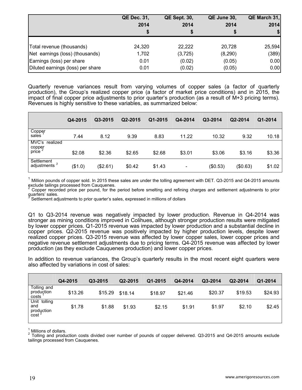|                                   | <b>QE Dec. 31,</b> | <b>QE Sept. 30,</b> | QE June 30, | QE March 31, |  |
|-----------------------------------|--------------------|---------------------|-------------|--------------|--|
|                                   | 2014               | 2014                | 2014        | 2014         |  |
|                                   |                    |                     |             |              |  |
| Total revenue (thousands)         | 24,320             | 22,222              | 20,728      | 25,594       |  |
| Net earnings (loss) (thousands)   | 1,702              | (3,725)             | (8, 290)    | (389)        |  |
| Earnings (loss) per share         | 0.01               | (0.02)              | (0.05)      | 0.00         |  |
| Diluted earnings (loss) per share | 0.01               | (0.02)              | (0.05)      | 0.00         |  |

Quarterly revenue variances result from varying volumes of copper sales (a factor of quarterly production), the Group's realized copper price (a factor of market price conditions) and in 2015, the impact of final copper price adjustments to prior quarter's production (as a result of M+3 pricing terms). Revenues is highly sensitive to these variables, as summarized below:

|                                                | Q4-2015 | Q3-2015  | Q2-2015 | Q1-2015 | Q4-2014 | Q3-2014  | Q2-2014  | Q1-2014 |
|------------------------------------------------|---------|----------|---------|---------|---------|----------|----------|---------|
| Copper<br>sales                                | 7.44    | 8.12     | 9.39    | 8.83    | 11.22   | 10.32    | 9.32     | 10.18   |
| MVC's realized<br>copper<br>price <sup>2</sup> | \$2.08  | \$2.36   | \$2.65  | \$2.68  | \$3.01  | \$3.06   | \$3.16   | \$3.36  |
| Settlement<br>adjustments <sup>3</sup>         | (\$1.0) | (\$2.61) | \$0.42  | \$1.43  | ٠       | (\$0.53) | (\$0.63) | \$1.02  |

<sup>1</sup> Million pounds of copper sold. In 2015 these sales are under the tolling agreement with DET. Q3-2015 and Q4-2015 amounts exclude tailings processed from Cauquenes.

<sup>2</sup> Copper recorded price per pound, for the period before smelting and refining charges and settlement adjustments to prior  $\frac{1}{3}$  courters' sales.

<sup>3</sup> Settlement adjustments to prior quarter's sales, expressed in millions of dollars

Q1 to Q3-2014 revenue was negatively impacted by lower production. Revenue in Q4-2014 was stronger as mining conditions improved in Colihues, although stronger production results were mitigated by lower copper prices. Q1-2015 revenue was impacted by lower production and a substantial decline in copper prices. Q2-2015 revenue was positively impacted by higher production levels, despite lower realized copper prices. Q3-2015 revenue was affected by lower copper sales, lower copper prices and negative revenue settlement adjustments due to pricing terms. Q4-2015 revenue was affected by lower production (as they exclude Cauquenes production) and lower copper prices.

In addition to revenue variances, the Group's quarterly results in the most recent eight quarters were also affected by variations in cost of sales:

|                                                        | Q4-2015 | Q3-2015 | Q2-2015 | Q1-2015 | Q4-2014 | Q3-2014 | Q2-2014 | Q1-2014 |
|--------------------------------------------------------|---------|---------|---------|---------|---------|---------|---------|---------|
| Tolling and<br>produçtion<br>costs                     | \$13.26 | \$15.29 | \$18.14 | \$18.97 | \$21.46 | \$20.37 | \$19.53 | \$24.93 |
| Unit tolling<br>and<br>production<br>cost <sup>2</sup> | \$1.78  | \$1.88  | \$1.93  | \$2.15  | \$1.91  | \$1.97  | \$2.10  | \$2.45  |

<sup>1</sup> Millions of dollars.<br><sup>2</sup> Tolling and production costs divided over number of pounds of copper delivered. Q3-2015 and Q4-2015 amounts exclude tailings processed from Cauquenes.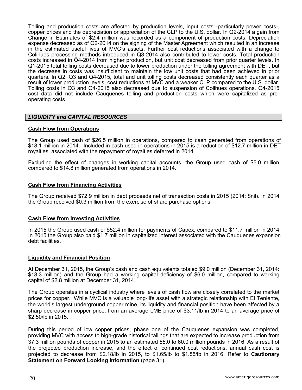Tolling and production costs are affected by production levels, input costs -particularly power costs-, copper prices and the depreciation or appreciation of the CLP to the U.S. dollar. In Q2-2014 a gain from Change in Estimates of \$2.4 million was recorded as a component of production costs. Depreciation expense decreased as of Q2-2014 on the signing of the Master Agreement which resulted in an increase in the estimated useful lives of MVC's assets. Further cost reductions associated with a change to Colihues processing methods introduced in Q3-2014 also contributed to lower costs. Total production costs increased in Q4-2014 from higher production, but unit cost decreased from prior quarter levels. In Q1-2015 total tolling costs decreased due to lower production under the tolling agreement with DET, but the decrease in costs was insufficient to maintain the low unit costs that had been achieved in prior quarters. In Q2, Q3 and Q4-2015, total and unit tolling costs decreased consistently each quarter as a result of lower production levels, cost reductions at MVC and a weaker CLP compared to the U.S. dollar. Tolling costs in Q3 and Q4-2015 also decreased due to suspension of Colihues operations. Q4-2015 cost data did not include Cauquenes tolling and production costs which were capitalized as preoperating costs.

#### *LIQUIDITY and CAPITAL RESOURCES*

#### **Cash Flow from Operations**

The Group used cash of \$26.5 million in operations, compared to cash generated from operations of \$18.1 million in 2014. Included in cash used in operations in 2015 is a reduction of \$12.7 million in DET royalties, associated with the repayment of royalties deferred in 2014.

Excluding the effect of changes in working capital accounts, the Group used cash of \$5.0 million, compared to \$14.8 million generated from operations in 2014.

#### **Cash Flow from Financing Activities**

The Group received \$72.9 million in debt proceeds net of transaction costs in 2015 (2014: \$nil). In 2014 the Group received \$0.3 million from the exercise of share purchase options.

#### **Cash Flow from Investing Activities**

In 2015 the Group used cash of \$52.4 million for payments of Capex, compared to \$11.7 million in 2014. In 2015 the Group also paid \$1.7 million in capitalized interest associated with the Cauquenes expansion debt facilities.

#### **Liquidity and Financial Position**

At December 31, 2015, the Group's cash and cash equivalents totaled \$9.0 million (December 31, 2014: \$18.3 million) and the Group had a working capital deficiency of \$6.0 million, compared to working capital of \$2.8 million at December 31, 2014.

The Group operates in a cyclical industry where levels of cash flow are closely correlated to the market prices for copper. While MVC is a valuable long-life asset with a strategic relationship with El Teniente, the world's largest underground copper mine, its liquidity and financial position have been affected by a sharp decrease in copper price, from an average LME price of \$3.11/lb in 2014 to an average price of \$2.50/lb in 2015.

During this period of low copper prices, phase one of the Cauquenes expansion was completed, providing MVC with access to high-grade historical tailings that are expected to increase production from 37.3 million pounds of copper in 2015 to an estimated 55.0 to 60.0 million pounds in 2016. As a result of the projected production increase, and the effect of continued cost reductions, annual cash cost is projected to decrease from \$2.18/lb in 2015, to \$1.65/lb to \$1.85/lb in 2016. Refer to **Cautionary Statement on Forward Looking Information** (page 31).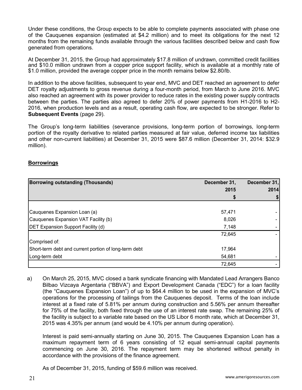Under these conditions, the Group expects to be able to complete payments associated with phase one of the Cauquenes expansion (estimated at \$4.2 million) and to meet its obligations for the next 12 months from the remaining funds available through the various facilities described below and cash flow generated from operations.

At December 31, 2015, the Group had approximately \$17.8 million of undrawn, committed credit facilities and \$10.0 million undrawn from a copper price support facility, which is available at a monthly rate of \$1.0 million, provided the average copper price in the month remains below \$2.80/lb.

In addition to the above facilities, subsequent to year end, MVC and DET reached an agreement to defer DET royalty adjustments to gross revenue during a four-month period, from March to June 2016. MVC also reached an agreement with its power provider to reduce rates in the existing power supply contracts between the parties. The parties also agreed to defer 20% of power payments from H1-2016 to H2- 2016, when production levels and as a result, operating cash flow, are expected to be stronger. Refer to **Subsequent Events** (page 29).

The Group's long-term liabilities (severance provisions, long-term portion of borrowings, long-term portion of the royalty derivative to related parties measured at fair value, deferred income tax liabilities and other non-current liabilities) at December 31, 2015 were \$87.6 million (December 31, 2014: \$32.9 million).

#### **Borrowings**

| <b>Borrowing outstanding (Thousands)</b>              | December 31, | December 31, |  |
|-------------------------------------------------------|--------------|--------------|--|
|                                                       | 2015         | 2014         |  |
|                                                       |              |              |  |
|                                                       |              |              |  |
| Cauquenes Expansion Loan (a)                          | 57,471       |              |  |
| Cauquenes Expansion VAT Facility (b)                  | 8,026        |              |  |
| <b>DET Expansion Support Facility (d)</b>             | 7,148        |              |  |
|                                                       | 72,645       |              |  |
| Comprised of:                                         |              |              |  |
| Short-term debt and current portion of long-term debt | 17,964       |              |  |
| Long-term debt                                        | 54,681       |              |  |
|                                                       | 72,645       |              |  |

a) On March 25, 2015, MVC closed a bank syndicate financing with Mandated Lead Arrangers Banco Bilbao Vizcaya Argentaria ("BBVA") and Export Development Canada ("EDC") for a loan facility (the "Cauquenes Expansion Loan") of up to \$64.4 million to be used in the expansion of MVC's operations for the processing of tailings from the Cauquenes deposit. Terms of the loan include interest at a fixed rate of 5.81% per annum during construction and 5.56% per annum thereafter for 75% of the facility, both fixed through the use of an interest rate swap. The remaining 25% of the facility is subject to a variable rate based on the US Libor 6 month rate, which at December 31, 2015 was 4.35% per annum (and would be 4.10% per annum during operation).

Interest is paid semi-annually starting on June 30, 2015. The Cauquenes Expansion Loan has a maximum repayment term of 6 years consisting of 12 equal semi-annual capital payments commencing on June 30, 2016. The repayment term may be shortened without penalty in accordance with the provisions of the finance agreement.

As of December 31, 2015, funding of \$59.6 million was received.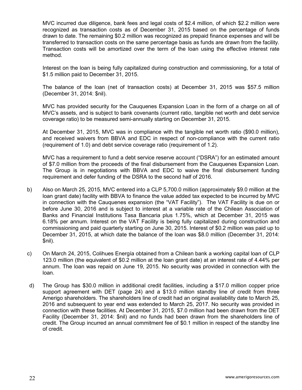MVC incurred due diligence, bank fees and legal costs of \$2.4 million, of which \$2.2 million were recognized as transaction costs as of December 31, 2015 based on the percentage of funds drawn to date. The remaining \$0.2 million was recognized as prepaid finance expenses and will be transferred to transaction costs on the same percentage basis as funds are drawn from the facility. Transaction costs will be amortized over the term of the loan using the effective interest rate method.

Interest on the loan is being fully capitalized during construction and commissioning, for a total of \$1.5 million paid to December 31, 2015.

The balance of the loan (net of transaction costs) at December 31, 2015 was \$57.5 million (December 31, 2014: \$nil).

MVC has provided security for the Cauquenes Expansion Loan in the form of a charge on all of MVC's assets, and is subject to bank covenants (current ratio, tangible net worth and debt service coverage ratio) to be measured semi-annually starting on December 31, 2015.

At December 31, 2015, MVC was in compliance with the tangible net worth ratio (\$90.0 million), and received waivers from BBVA and EDC in respect of non-compliance with the current ratio (requirement of 1.0) and debt service coverage ratio (requirement of 1.2).

MVC has a requirement to fund a debt service reserve account ("DSRA") for an estimated amount of \$7.0 million from the proceeds of the final disbursement from the Cauquenes Expansion Loan. The Group is in negotiations with BBVA and EDC to waive the final disbursement funding requirement and defer funding of the DSRA to the second half of 2016.

- b) Also on March 25, 2015, MVC entered into a CLP 5,700.0 million (approximately \$9.0 million at the loan grant date) facility with BBVA to finance the value added tax expected to be incurred by MVC in connection with the Cauquenes expansion (the "VAT Facility"). The VAT Facility is due on or before June 30, 2016 and is subject to interest at a variable rate of the Chilean Association of Banks and Financial Institutions Tasa Bancaria plus 1.75%, which at December 31, 2015 was 6.18% per annum. Interest on the VAT Facility is being fully capitalized during construction and commissioning and paid quarterly starting on June 30, 2015. Interest of \$0.2 million was paid up to December 31, 2015, at which date the balance of the loan was \$8.0 million (December 31, 2014: \$nil).
- c) On March 24, 2015, Colihues Energía obtained from a Chilean bank a working capital loan of CLP 123.0 million (the equivalent of \$0.2 million at the loan grant date) at an interest rate of 4.44% per annum. The loan was repaid on June 19, 2015. No security was provided in connection with the loan.
- d) The Group has \$30.0 million in additional credit facilities, including a \$17.0 million copper price support agreement with DET (page 24) and a \$13.0 million standby line of credit from three Amerigo shareholders. The shareholders line of credit had an original availability date to March 25, 2016 and subsequent to year end was extended to March 25, 2017. No security was provided in connection with these facilities. At December 31, 2015, \$7.0 million had been drawn from the DET Facility (December 31, 2014: \$nil) and no funds had been drawn from the shareholders line of credit. The Group incurred an annual commitment fee of \$0.1 million in respect of the standby line of credit.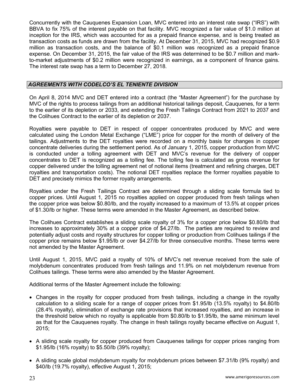Concurrently with the Cauquenes Expansion Loan, MVC entered into an interest rate swap ("IRS") with BBVA to fix 75% of the interest payable on that facility. MVC recognized a fair value of \$1.0 million at inception for the IRS, which was accounted for as a prepaid finance expense, and is being treated as transaction costs as funds are drawn from the facility. At December 31, 2015, MVC had recognized \$0.9 million as transaction costs, and the balance of \$0.1 million was recognized as a prepaid finance expense. On December 31, 2015, the fair value of the IRS was determined to be \$0.7 million and markto-market adjustments of \$0.2 million were recognized in earnings, as a component of finance gains. The interest rate swap has a term to December 27, 2018.

# *AGREEMENTS WITH CODELCO'S EL TENIENTE DIVISION*

On April 8, 2014 MVC and DET entered into a contract (the "Master Agreement") for the purchase by MVC of the rights to process tailings from an additional historical tailings deposit, Cauquenes, for a term to the earlier of its depletion or 2033, and extending the Fresh Tailings Contract from 2021 to 2037 and the Colihues Contract to the earlier of its depletion or 2037.

Royalties were payable to DET in respect of copper concentrates produced by MVC and were calculated using the London Metal Exchange ("LME") price for copper for the month of delivery of the tailings. Adjustments to the DET royalties were recorded on a monthly basis for changes in copper concentrate deliveries during the settlement period. As of January 1, 2015, copper production from MVC is conducted under a tolling agreement with DET and MVC's revenue for the delivery of copper concentrates to DET is recognized as a tolling fee. The tolling fee is calculated as gross revenue for copper delivered under the tolling agreement net of notional items (treatment and refining charges, DET royalties and transportation costs). The notional DET royalties replace the former royalties payable to DET and precisely mimics the former royalty arrangements.

Royalties under the Fresh Tailings Contract are determined through a sliding scale formula tied to copper prices. Until August 1, 2015 no royalties applied on copper produced from fresh tailings when the copper price was below \$0.80/lb, and the royalty increased to a maximum of 13.5% at copper prices of \$1.30/lb or higher. These terms were amended in the Master Agreement, as described below.

The Colihues Contract establishes a sliding scale royalty of 3% for a copper price below \$0.80/lb that increases to approximately 30% at a copper price of \$4.27/lb. The parties are required to review and potentially adjust costs and royalty structures for copper tolling or production from Colihues tailings if the copper price remains below \$1.95/lb or over \$4.27/lb for three consecutive months. These terms were not amended by the Master Agreement.

Until August 1, 2015, MVC paid a royalty of 10% of MVC's net revenue received from the sale of molybdenum concentrates produced from fresh tailings and 11.9% on net molybdenum revenue from Colihues tailings. These terms were also amended by the Master Agreement.

Additional terms of the Master Agreement include the following:

- Changes in the royalty for copper produced from fresh tailings, including a change in the royalty calculation to a sliding scale for a range of copper prices from \$1.95/lb (13.5% royalty) to \$4.80/lb (28.4% royalty), elimination of exchange rate provisions that increased royalties, and an increase in the threshold below which no royalty is applicable from \$0.80/lb to \$1.95/lb, the same minimum level as that for the Cauquenes royalty. The change in fresh tailings royalty became effective on August 1, 2015;
- A sliding scale royalty for copper produced from Cauquenes tailings for copper prices ranging from \$1.95/lb (16% royalty) to \$5.50/lb (39% royalty);
- A sliding scale global molybdenum royalty for molybdenum prices between \$7.31/lb (9% royalty) and \$40/lb (19.7% royalty), effective August 1, 2015;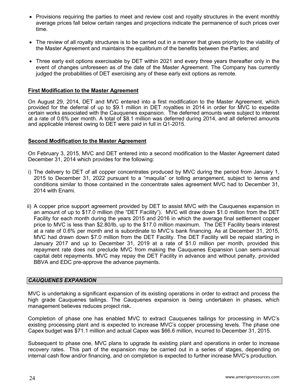- Provisions requiring the parties to meet and review cost and royalty structures in the event monthly average prices fall below certain ranges and projections indicate the permanence of such prices over time.
- The review of all royalty structures is to be carried out in a manner that gives priority to the viability of the Master Agreement and maintains the equilibrium of the benefits between the Parties; and
- Three early exit options exercisable by DET within 2021 and every three years thereafter only in the event of changes unforeseen as of the date of the Master Agreement. The Company has currently judged the probabilities of DET exercising any of these early exit options as remote.

### **First Modification to the Master Agreement**

On August 29, 2014, DET and MVC entered into a first modification to the Master Agreement, which provided for the deferral of up to \$9.1 million in DET royalties in 2014 in order for MVC to expedite certain works associated with the Cauquenes expansion. The deferred amounts were subject to interest at a rate of 0.6% per month. A total of \$8.1 million was deferred during 2014, and all deferred amounts and applicable interest owing to DET were paid in full in Q1-2015.

#### **Second Modification to the Master Agreement**

On February 3, 2015, MVC and DET entered into a second modification to the Master Agreement dated December 31, 2014 which provides for the following:

- i) The delivery to DET of all copper concentrates produced by MVC during the period from January 1, 2015 to December 31, 2022 pursuant to a "maquila" or tolling arrangement, subject to terms and conditions similar to those contained in the concentrate sales agreement MVC had to December 31, 2014 with Enami.
- ii) A copper price support agreement provided by DET to assist MVC with the Cauquenes expansion in an amount of up to \$17.0 million (the "DET Facility"). MVC will draw down \$1.0 million from the DET Facility for each month during the years 2015 and 2016 in which the average final settlement copper price to MVC is less than \$2.80/lb, up to the \$17.0 million maximum. The DET Facility bears interest at a rate of 0.6% per month and is subordinate to MVC's bank financing. As at December 31, 2015, MVC had drawn down \$7.0 million from the DET Facility. The DET Facility will be repaid starting in January 2017 and up to December 31, 2019 at a rate of \$1.0 million per month, provided this repayment rate does not preclude MVC from making the Cauquenes Expansion Loan semi-annual capital debt repayments. MVC may repay the DET Facility in advance and without penalty, provided BBVA and EDC pre-approve the advance payments.

#### *CAUQUENES EXPANSION*

MVC is undertaking a significant expansion of its existing operations in order to extract and process the high grade Cauquenes tailings. The Cauquenes expansion is being undertaken in phases, which management believes reduces project risk.

Completion of phase one has enabled MVC to extract Cauquenes tailings for processing in MVC's existing processing plant and is expected to increase MVC's copper processing levels. The phase one Capex budget was \$71.1 million and actual Capex was \$66.6 million, incurred to December 31, 2015.

Subsequent to phase one, MVC plans to upgrade its existing plant and operations in order to increase recovery rates. This part of the expansion may be carried out in a series of stages, depending on internal cash flow and/or financing, and on completion is expected to further increase MVC's production.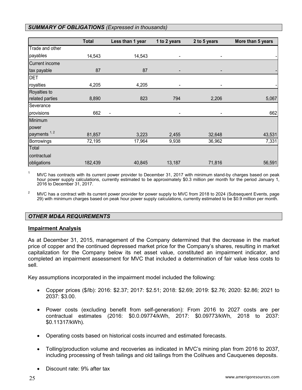#### *SUMMARY OF OBLIGATIONS (Expressed in thousands)*

|                         | <b>Total</b> | Less than 1 year | 1 to 2 years             | 2 to 5 years             | More than 5 years |
|-------------------------|--------------|------------------|--------------------------|--------------------------|-------------------|
| Trade and other         |              |                  |                          |                          |                   |
| payables                | 14,543       | 14,543           | -                        |                          |                   |
| <b>Current income</b>   |              |                  |                          |                          |                   |
| tax payable             | 87           | 87               | -                        | $\overline{\phantom{a}}$ |                   |
| <b>DET</b>              |              |                  |                          |                          |                   |
| royalties               | 4,205        | 4,205            | $\overline{\phantom{0}}$ | ٠                        |                   |
| Royalties to            |              |                  |                          |                          |                   |
| related parties         | 8,890        | 823              | 794                      | 2,206                    | 5,067             |
| Severance               |              |                  |                          |                          |                   |
| provisions              | 662          | $\blacksquare$   | $\overline{\phantom{a}}$ | $\overline{\phantom{a}}$ | 662               |
| Minimum                 |              |                  |                          |                          |                   |
| power                   |              |                  |                          |                          |                   |
| payments <sup>1,2</sup> | 81,857       | 3,223            | 2,455                    | 32,648                   | 43,531            |
| <b>Borrowings</b>       | 72,195       | 17,964           | 9,938                    | 36,962                   | 7,331             |
| Total                   |              |                  |                          |                          |                   |
| contractual             |              |                  |                          |                          |                   |
| obligations             | 182,439      | 40,845           | 13,187                   | 71,816                   | 56,591            |

<sup>1</sup> MVC has contracts with its current power provider to December 31, 2017 with minimum stand-by charges based on peak hour power supply calculations, currently estimated to be approximately \$0.3 million per month for the period January 1, 2016 to December 31, 2017.

<sup>2</sup> MVC has a contract with its current power provider for power supply to MVC from 2018 to 2024 (Subsequent Events, page 29) with minimum charges based on peak hour power supply calculations, currently estimated to be \$0.9 million per month.

# *OTHER MD&A REQUIREMENTS*

#### **Impairment Analysis**

As at December 31, 2015, management of the Company determined that the decrease in the market price of copper and the continued depressed market price for the Company's shares, resulting in market capitalization for the Company below its net asset value, constituted an impairment indicator, and completed an impairment assessment for MVC that included a determination of fair value less costs to sell.

Key assumptions incorporated in the impairment model included the following:

- Copper prices (\$/lb): 2016: \$2.37; 2017: \$2.51; 2018: \$2.69; 2019: \$2.76; 2020: \$2.86; 2021 to 2037: \$3.00.
- Power costs (excluding benefit from self-generation): From 2016 to 2027 costs are per contractual estimates (2016: \$0.0.09774/kWh, 2017: \$0.09773/kWh, 2018 to 2037: \$0.11317/kWh).
- Operating costs based on historical costs incurred and estimated forecasts.
- Tolling/production volume and recoveries as indicated in MVC's mining plan from 2016 to 2037, including processing of fresh tailings and old tailings from the Colihues and Cauquenes deposits.
- Discount rate: 9% after tax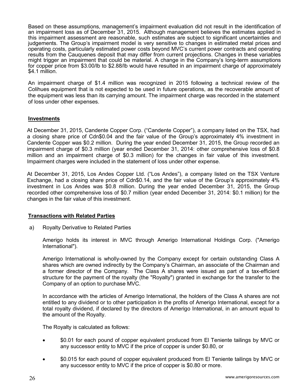Based on these assumptions, management's impairment evaluation did not result in the identification of an impairment loss as of December 31, 2015. Although management believes the estimates applied in this impairment assessment are reasonable, such estimates are subject to significant uncertainties and judgements. The Group's impairment model is very sensitive to changes in estimated metal prices and operating costs, particularly estimated power costs beyond MVC's current power contracts and operating results from the Cauquenes deposit that may differ from current projections. Changes in these variables might trigger an impairment that could be material. A change in the Company's long-term assumptions for copper price from \$3.00/lb to \$2.88/lb would have resulted in an impairment charge of approximately \$4.1 million.

An impairment charge of \$1.4 million was recognized in 2015 following a technical review of the Colihues equipment that is not expected to be used in future operations, as the recoverable amount of the equipment was less than its carrying amount. The impairment charge was recorded in the statement of loss under other expenses.

#### **Investments**

At December 31, 2015, Candente Copper Corp. ("Candente Copper"), a company listed on the TSX, had a closing share price of Cdn\$0.04 and the fair value of the Group's approximately 4% investment in Candente Copper was \$0.2 million. During the year ended December 31, 2015, the Group recorded an impairment charge of \$0.3 million (year ended December 31, 2014: other comprehensive loss of \$0.8 million and an impairment charge of \$0.3 million) for the changes in fair value of this investment. Impairment charges were included in the statement of loss under other expense.

At December 31, 2015, Los Andes Copper Ltd. ("Los Andes"), a company listed on the TSX Venture Exchange, had a closing share price of Cdn\$0.14, and the fair value of the Group's approximately 4% investment in Los Andes was \$0.8 million. During the year ended December 31, 2015, the Group recorded other comprehensive loss of \$0.7 million (year ended December 31, 2014: \$0.1 million) for the changes in the fair value of this investment.

# **Transactions with Related Parties**

a) Royalty Derivative to Related Parties

Amerigo holds its interest in MVC through Amerigo International Holdings Corp. ("Amerigo International").

Amerigo International is wholly-owned by the Company except for certain outstanding Class A shares which are owned indirectly by the Company's Chairman, an associate of the Chairman and a former director of the Company. The Class A shares were issued as part of a tax-efficient structure for the payment of the royalty (the "Royalty") granted in exchange for the transfer to the Company of an option to purchase MVC.

In accordance with the articles of Amerigo International, the holders of the Class A shares are not entitled to any dividend or to other participation in the profits of Amerigo International, except for a total royalty dividend, if declared by the directors of Amerigo International, in an amount equal to the amount of the Royalty.

The Royalty is calculated as follows:

- \$0.01 for each pound of copper equivalent produced from El Teniente tailings by MVC or any successor entity to MVC if the price of copper is under \$0.80, or
- \$0.015 for each pound of copper equivalent produced from El Teniente tailings by MVC or any successor entity to MVC if the price of copper is \$0.80 or more.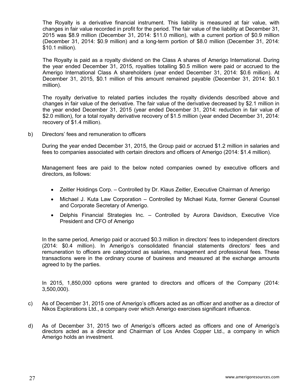The Royalty is a derivative financial instrument. This liability is measured at fair value, with changes in fair value recorded in profit for the period. The fair value of the liability at December 31, 2015 was \$8.9 million (December 31, 2014: \$11.0 million), with a current portion of \$0.9 million (December 31, 2014: \$0.9 million) and a long-term portion of \$8.0 million (December 31, 2014: \$10.1 million).

The Royalty is paid as a royalty dividend on the Class A shares of Amerigo International. During the year ended December 31, 2015, royalties totalling \$0.5 million were paid or accrued to the Amerigo International Class A shareholders (year ended December 31, 2014: \$0.6 million). At December 31, 2015, \$0.1 million of this amount remained payable (December 31, 2014: \$0.1 million).

The royalty derivative to related parties includes the royalty dividends described above and changes in fair value of the derivative. The fair value of the derivative decreased by \$2.1 million in the year ended December 31, 2015 (year ended December 31, 2014: reduction in fair value of \$2.0 million), for a total royalty derivative recovery of \$1.5 million (year ended December 31, 2014: recovery of \$1.4 million).

b) Directors' fees and remuneration to officers

During the year ended December 31, 2015, the Group paid or accrued \$1.2 million in salaries and fees to companies associated with certain directors and officers of Amerigo (2014: \$1.4 million).

Management fees are paid to the below noted companies owned by executive officers and directors, as follows:

- Zeitler Holdings Corp. Controlled by Dr. Klaus Zeitler, Executive Chairman of Amerigo
- Michael J. Kuta Law Corporation Controlled by Michael Kuta, former General Counsel and Corporate Secretary of Amerigo.
- Delphis Financial Strategies Inc. Controlled by Aurora Davidson, Executive Vice President and CFO of Amerigo

In the same period, Amerigo paid or accrued \$0.3 million in directors' fees to independent directors (2014: \$0.4 million). In Amerigo's consolidated financial statements directors' fees and remuneration to officers are categorized as salaries, management and professional fees. These transactions were in the ordinary course of business and measured at the exchange amounts agreed to by the parties.

In 2015, 1,850,000 options were granted to directors and officers of the Company (2014: 3,500,000).

- c) As of December 31, 2015 one of Amerigo's officers acted as an officer and another as a director of Nikos Explorations Ltd., a company over which Amerigo exercises significant influence.
- d) As of December 31, 2015 two of Amerigo's officers acted as officers and one of Amerigo's directors acted as a director and Chairman of Los Andes Copper Ltd., a company in which Amerigo holds an investment.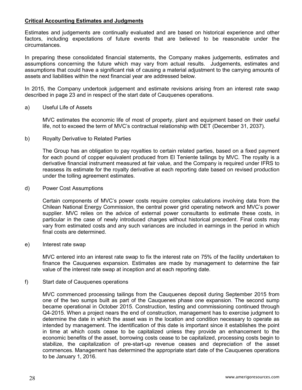# **Critical Accounting Estimates and Judgments**

Estimates and judgements are continually evaluated and are based on historical experience and other factors, including expectations of future events that are believed to be reasonable under the circumstances.

In preparing these consolidated financial statements, the Company makes judgements, estimates and assumptions concerning the future which may vary from actual results. Judgements, estimates and assumptions that could have a significant risk of causing a material adjustment to the carrying amounts of assets and liabilities within the next financial year are addressed below.

In 2015, the Company undertook judgement and estimate revisions arising from an interest rate swap described in page 23 and in respect of the start date of Cauquenes operations.

#### a) Useful Life of Assets

MVC estimates the economic life of most of property, plant and equipment based on their useful life, not to exceed the term of MVC's contractual relationship with DET (December 31, 2037).

b) Royalty Derivative to Related Parties

The Group has an obligation to pay royalties to certain related parties, based on a fixed payment for each pound of copper equivalent produced from El Teniente tailings by MVC. The royalty is a derivative financial instrument measured at fair value, and the Company is required under IFRS to reassess its estimate for the royalty derivative at each reporting date based on revised production under the tolling agreement estimates.

#### d) Power Cost Assumptions

Certain components of MVC's power costs require complex calculations involving data from the Chilean National Energy Commission, the central power grid operating network and MVC's power supplier. MVC relies on the advice of external power consultants to estimate these costs, in particular in the case of newly introduced charges without historical precedent. Final costs may vary from estimated costs and any such variances are included in earnings in the period in which final costs are determined.

#### e) Interest rate swap

MVC entered into an interest rate swap to fix the interest rate on 75% of the facility undertaken to finance the Cauquenes expansion. Estimates are made by management to determine the fair value of the interest rate swap at inception and at each reporting date.

f) Start date of Cauquenes operations

MVC commenced processing tailings from the Cauquenes deposit during September 2015 from one of the two sumps built as part of the Cauquenes phase one expansion. The second sump became operational in October 2015. Construction, testing and commissioning continued through Q4-2015. When a project nears the end of construction, management has to exercise judgment to determine the date in which the asset was in the location and condition necessary to operate as intended by management. The identification of this date is important since it establishes the point in time at which costs cease to be capitalized unless they provide an enhancement to the economic benefits of the asset, borrowing costs cease to be capitalized, processing costs begin to stabilize, the capitalization of pre-start-up revenue ceases and depreciation of the asset commences. Management has determined the appropriate start date of the Cauquenes operations to be January 1, 2016.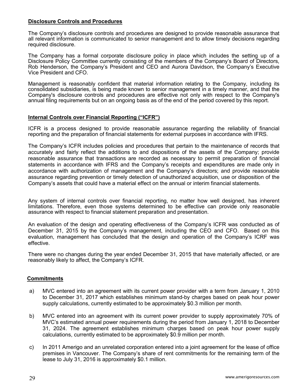# **Disclosure Controls and Procedures**

The Company's disclosure controls and procedures are designed to provide reasonable assurance that all relevant information is communicated to senior management and to allow timely decisions regarding required disclosure.

The Company has a formal corporate disclosure policy in place which includes the setting up of a Disclosure Policy Committee currently consisting of the members of the Company's Board of Directors, Rob Henderson, the Company's President and CEO and Aurora Davidson, the Company's Executive Vice President and CFO.

Management is reasonably confident that material information relating to the Company, including its consolidated subsidiaries, is being made known to senior management in a timely manner, and that the Company's disclosure controls and procedures are effective not only with respect to the Company's annual filing requirements but on an ongoing basis as of the end of the period covered by this report.

#### **Internal Controls over Financial Reporting ("ICFR")**

ICFR is a process designed to provide reasonable assurance regarding the reliability of financial reporting and the preparation of financial statements for external purposes in accordance with IFRS.

The Company's ICFR includes policies and procedures that pertain to the maintenance of records that accurately and fairly reflect the additions to and dispositions of the assets of the Company; provide reasonable assurance that transactions are recorded as necessary to permit preparation of financial statements in accordance with IFRS and the Company's receipts and expenditures are made only in accordance with authorization of management and the Company's directors; and provide reasonable assurance regarding prevention or timely detection of unauthorized acquisition, use or disposition of the Company's assets that could have a material effect on the annual or interim financial statements.

Any system of internal controls over financial reporting, no matter how well designed, has inherent limitations. Therefore, even those systems determined to be effective can provide only reasonable assurance with respect to financial statement preparation and presentation.

An evaluation of the design and operating effectiveness of the Company's ICFR was conducted as of December 31, 2015 by the Company's management, including the CEO and CFO. Based on this evaluation, management has concluded that the design and operation of the Company's ICRF was effective.

There were no changes during the year ended December 31, 2015 that have materially affected, or are reasonably likely to affect, the Company's ICFR.

# **Commitments**

- a) MVC entered into an agreement with its current power provider with a term from January 1, 2010 to December 31, 2017 which establishes minimum stand-by charges based on peak hour power supply calculations, currently estimated to be approximately \$0.3 million per month.
- b) MVC entered into an agreement with its current power provider to supply approximately 70% of MVC's estimated annual power requirements during the period from January 1, 2018 to December 31, 2024. The agreement establishes minimum charges based on peak hour power supply calculations, currently estimated to be approximately \$0.9 million per month.
- c) In 2011 Amerigo and an unrelated corporation entered into a joint agreement for the lease of office premises in Vancouver. The Company's share of rent commitments for the remaining term of the lease to July 31, 2016 is approximately \$0.1 million.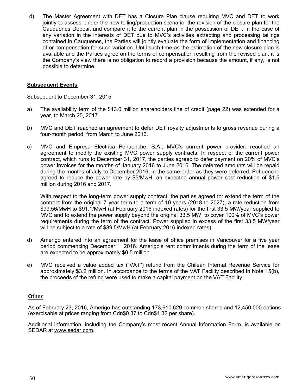d) The Master Agreement with DET has a Closure Plan clause requiring MVC and DET to work jointly to assess, under the new tolling/production scenario, the revision of the closure plan for the Cauquenes Deposit and compare it to the current plan in the possession of DET. In the case of any variation in the interests of DET due to MVC's activities extracting and processing tailings contained in Cauquenes, the Parties will jointly evaluate the form of implementation and financing of or compensation for such variation. Until such time as the estimation of the new closure plan is available and the Parties agree on the terms of compensation resulting from the revised plan, it is the Company's view there is no obligation to record a provision because the amount, if any, is not possible to determine.

# **Subsequent Events**

Subsequent to December 31, 2015:

- a) The availability term of the \$13.0 million shareholders line of credit (page 22) was extended for a year, to March 25, 2017.
- b) MVC and DET reached an agreement to defer DET royalty adjustments to gross revenue during a four-month period, from March to June 2016.
- c) MVC and Empresa Eléctrica Pehuenche, S.A., MVC's current power provider, reached an agreement to modify the existing MVC power supply contracts. In respect of the current power contract, which runs to December 31, 2017, the parties agreed to defer payment on 20% of MVC's power invoices for the months of January 2016 to June 2016. The deferred amounts will be repaid during the months of July to December 2016, in the same order as they were deferred. Pehuenche agreed to reduce the power rate by \$5/MwH, an expected annual power cost reduction of \$1.5 million during 2016 and 2017.

With respect to the long-term power supply contract, the parties agreed to: extend the term of the contract from the original 7 year term to a term of 10 years (2018 to 2027), a rate reduction from \$99.56/MwH to \$91.1/MwH (at February 2016 indexed rates) for the first 33.5 MW/year supplied to MVC and to extend the power supply beyond the original 33.5 MW, to cover 100% of MVC's power requirements during the term of the contract. Power supplied in excess of the first 33.5 MW/year will be subject to a rate of \$89.5/MwH (at February 2016 indexed rates).

- d) Amerigo entered into an agreement for the lease of office premises in Vancouver for a five year period commencing December 1, 2016. Amerigo's rent commitments during the term of the lease are expected to be approximately \$0.5 million.
- e) MVC received a value added tax ("VAT") refund from the Chilean Internal Revenue Service for approximately \$3.2 million. In accordance to the terms of the VAT Facility described in Note 15(b), the proceeds of the refund were used to make a capital payment on the VAT Facility.

# **Other**

As of February 23, 2016, Amerigo has outstanding 173,610,629 common shares and 12,450,000 options (exercisable at prices ranging from Cdn\$0.37 to Cdn\$1.32 per share).

Additional information, including the Company's most recent Annual Information Form, is available on SEDAR at www.sedar.com.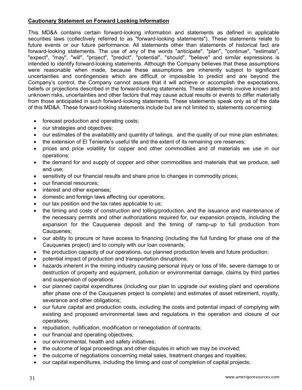# **Cautionary Statement on Forward Looking Information**

This MD&A contains certain forward-looking information and statements as defined in applicable securities laws (collectively referred to as "forward-looking statements"). These statements relate to future events or our future performance. All statements other than statements of historical fact are forward-looking statements. The use of any of the words "anticipate", "plan", "continue", "estimate", "expect", "may", "will", "project", "predict", "potential", "should", "believe" and similar expressions is intended to identify forward-looking statements. Although the Company believes that these assumptions were reasonable when made, because these assumptions are inherently subject to significant uncertainties and contingencies which are difficult or impossible to predict and are beyond the Company's control, the Company cannot assure that it will achieve or accomplish the expectations, beliefs or projections described in the forward-looking statements. These statements involve known and unknown risks, uncertainties and other factors that may cause actual results or events to differ materially from those anticipated in such forward-looking statements. These statements speak only as of the date of this MD&A. These forward-looking statements include but are not limited to, statements concerning:

- forecast production and operating costs;
- our strategies and objectives;
- our estimates of the availability and quantity of tailings, and the quality of our mine plan estimates;
- the extension of El Teniente's useful life and the extent of its remaining ore reserves;
- prices and price volatility for copper and other commodities and of materials we use in our operations;
- the demand for and supply of copper and other commodities and materials that we produce, sell and use;
- sensitivity of our financial results and share price to changes in commodity prices;
- our financial resources;
- interest and other expenses;
- domestic and foreign laws affecting our operations;
- our tax position and the tax rates applicable to us;
- the timing and costs of construction and tolling/production, and the issuance and maintenance of the necessary permits and other authorizations required for, our expansion projects, including the expansion for the Cauquenes deposit and the timing of ramp-up to full production from Cauquenes;
- our ability to procure or have access to financing (including the full funding for phase one of the Cauquenes project) and to comply with our loan covenants;
- the production capacity of our operations, our planned production levels and future production;
- potential impact of production and transportation disruptions;
- hazards inherent in the mining industry causing personal injury or loss of life, severe damage to or destruction of property and equipment, pollution or environmental damage, claims by third parties and suspension of operations
- our planned capital expenditures (including our plan to upgrade our existing plant and operations after phase one of the Cauquenes project is complete) and estimates of asset retirement, royalty, severance and other obligations;
- our future capital and production costs, including the costs and potential impact of complying with existing and proposed environmental laws and regulations in the operation and closure of our operations;
- repudiation, nullification, modification or renegotiation of contracts;
- our financial and operating objectives;
- our environmental, health and safety initiatives;
- the outcome of legal proceedings and other disputes in which we may be involved;
- the outcome of negotiations concerning metal sales, treatment charges and royalties;
- our capital expenditures, including the timing and cost of completion of capital projects;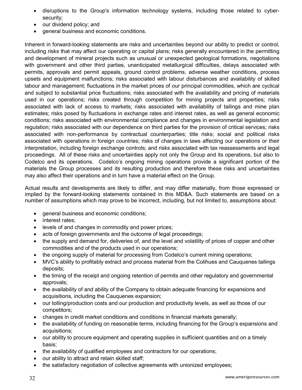- disruptions to the Group's information technology systems, including those related to cybersecurity;
- our dividend policy; and
- general business and economic conditions.

Inherent in forward-looking statements are risks and uncertainties beyond our ability to predict or control, including risks that may affect our operating or capital plans; risks generally encountered in the permitting and development of mineral projects such as unusual or unexpected geological formations, negotiations with government and other third parties, unanticipated metallurgical difficulties, delays associated with permits, approvals and permit appeals, ground control problems, adverse weather conditions, process upsets and equipment malfunctions; risks associated with labour disturbances and availability of skilled labour and management; fluctuations in the market prices of our principal commodities, which are cyclical and subject to substantial price fluctuations; risks associated with the availability and pricing of materials used in our operations; risks created through competition for mining projects and properties; risks associated with lack of access to markets; risks associated with availability of tailings and mine plan estimates; risks posed by fluctuations in exchange rates and interest rates, as well as general economic conditions; risks associated with environmental compliance and changes in environmental legislation and regulation; risks associated with our dependence on third parties for the provision of critical services; risks associated with non-performance by contractual counterparties; title risks; social and political risks associated with operations in foreign countries; risks of changes in laws affecting our operations or their interpretation, including foreign exchange controls; and risks associated with tax reassessments and legal proceedings. All of these risks and uncertainties apply not only the Group and its operations, but also to Codelco and its operations. Codelco's ongoing mining operations provide a significant portion of the materials the Group processes and its resulting production and therefore these risks and uncertainties may also affect their operations and in turn have a material effect on the Group.

Actual results and developments are likely to differ, and may differ materially, from those expressed or implied by the forward-looking statements contained in this MD&A. Such statements are based on a number of assumptions which may prove to be incorrect, including, but not limited to, assumptions about:

- general business and economic conditions;
- interest rates:
- levels of and changes in commodity and power prices;
- acts of foreign governments and the outcome of legal proceedings;
- the supply and demand for, deliveries of, and the level and volatility of prices of copper and other commodities and of the products used in our operations;
- the ongoing supply of material for processing from Codelco's current mining operations;
- MVC's ability to profitably extract and process material from the Colihues and Cauquenes tailings deposits;
- the timing of the receipt and ongoing retention of permits and other regulatory and governmental approvals;
- the availability of and ability of the Company to obtain adequate financing for expansions and acquisitions, including the Cauquenes expansion;
- our tolling/production costs and our production and productivity levels, as well as those of our competitors;
- changes in credit market conditions and conditions in financial markets generally;
- the availability of funding on reasonable terms, including financing for the Group's expansions and acquisitions;
- our ability to procure equipment and operating supplies in sufficient quantities and on a timely basis;
- the availability of qualified employees and contractors for our operations;
- our ability to attract and retain skilled staff;
- the satisfactory negotiation of collective agreements with unionized employees;